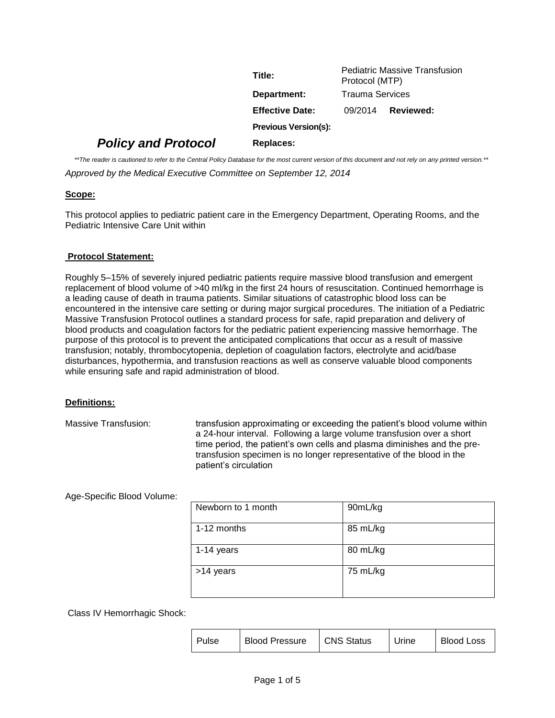|                            | Title:                      | Protocol (MTP)         | <b>Pediatric Massive Transfusion</b> |  |
|----------------------------|-----------------------------|------------------------|--------------------------------------|--|
|                            | Department:                 | <b>Trauma Services</b> |                                      |  |
|                            | <b>Effective Date:</b>      | 09/2014                | Reviewed:                            |  |
|                            | <b>Previous Version(s):</b> |                        |                                      |  |
| <b>Policy and Protocol</b> | Replaces:                   |                        |                                      |  |

*\*\*The reader is cautioned to refer to the Central Policy Database for the most current version of this document and not rely on any printed version.\*\* Approved by the Medical Executive Committee on September 12, 2014*

# **Scope:**

This protocol applies to pediatric patient care in the Emergency Department, Operating Rooms, and the Pediatric Intensive Care Unit within

### **Protocol Statement:**

Roughly 5–15% of severely injured pediatric patients require massive blood transfusion and emergent replacement of blood volume of >40 ml/kg in the first 24 hours of resuscitation. Continued hemorrhage is a leading cause of death in trauma patients. Similar situations of catastrophic blood loss can be encountered in the intensive care setting or during major surgical procedures. The initiation of a Pediatric Massive Transfusion Protocol outlines a standard process for safe, rapid preparation and delivery of blood products and coagulation factors for the pediatric patient experiencing massive hemorrhage. The purpose of this protocol is to prevent the anticipated complications that occur as a result of massive transfusion; notably, thrombocytopenia, depletion of coagulation factors, electrolyte and acid/base disturbances, hypothermia, and transfusion reactions as well as conserve valuable blood components while ensuring safe and rapid administration of blood.

### **Definitions:**

Massive Transfusion: transfusion approximating or exceeding the patient's blood volume within a 24-hour interval. Following a large volume transfusion over a short time period, the patient's own cells and plasma diminishes and the pretransfusion specimen is no longer representative of the blood in the patient's circulation

Age-Specific Blood Volume:

| Newborn to 1 month | 90mL/kg  |
|--------------------|----------|
| 1-12 months        | 85 mL/kg |
| 1-14 years         | 80 mL/kg |
| >14 years          | 75 mL/kg |

Class IV Hemorrhagic Shock:

| Pulse | <b>Blood Pressure</b> | CNS Status | Urine | <b>Blood Loss</b> |
|-------|-----------------------|------------|-------|-------------------|
|-------|-----------------------|------------|-------|-------------------|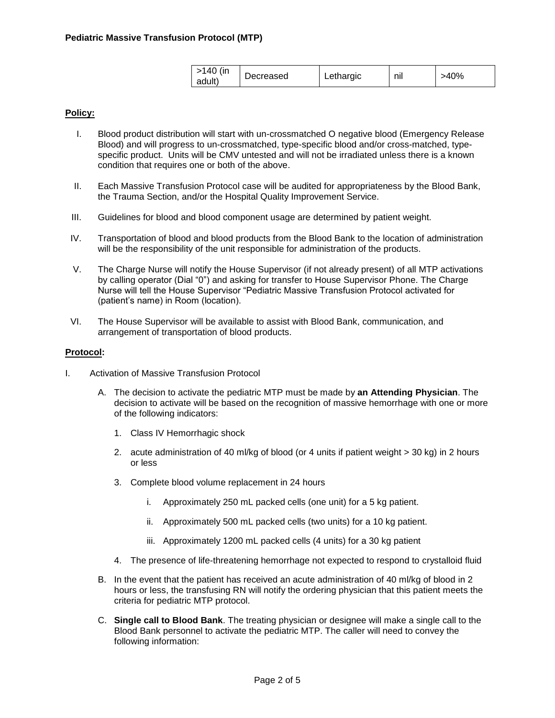| >140 (in<br>adult) | Decreased | Lethargic | nıl | >40% |
|--------------------|-----------|-----------|-----|------|
|--------------------|-----------|-----------|-----|------|

# **Policy:**

- I. Blood product distribution will start with un-crossmatched O negative blood (Emergency Release Blood) and will progress to un-crossmatched, type-specific blood and/or cross-matched, typespecific product. Units will be CMV untested and will not be irradiated unless there is a known condition that requires one or both of the above.
- II. Each Massive Transfusion Protocol case will be audited for appropriateness by the Blood Bank, the Trauma Section, and/or the Hospital Quality Improvement Service.
- III. Guidelines for blood and blood component usage are determined by patient weight.
- IV. Transportation of blood and blood products from the Blood Bank to the location of administration will be the responsibility of the unit responsible for administration of the products.
- V. The Charge Nurse will notify the House Supervisor (if not already present) of all MTP activations by calling operator (Dial "0") and asking for transfer to House Supervisor Phone. The Charge Nurse will tell the House Supervisor "Pediatric Massive Transfusion Protocol activated for (patient's name) in Room (location).
- VI. The House Supervisor will be available to assist with Blood Bank, communication, and arrangement of transportation of blood products.

### **Protocol:**

- I. Activation of Massive Transfusion Protocol
	- A. The decision to activate the pediatric MTP must be made by **an Attending Physician**. The decision to activate will be based on the recognition of massive hemorrhage with one or more of the following indicators:
		- 1. Class IV Hemorrhagic shock
		- 2. acute administration of 40 ml/kg of blood (or 4 units if patient weight > 30 kg) in 2 hours or less
		- 3. Complete blood volume replacement in 24 hours
			- i. Approximately 250 mL packed cells (one unit) for a 5 kg patient.
			- ii. Approximately 500 mL packed cells (two units) for a 10 kg patient.
			- iii. Approximately 1200 mL packed cells (4 units) for a 30 kg patient
		- 4. The presence of life-threatening hemorrhage not expected to respond to crystalloid fluid
	- B. In the event that the patient has received an acute administration of 40 ml/kg of blood in 2 hours or less, the transfusing RN will notify the ordering physician that this patient meets the criteria for pediatric MTP protocol.
	- C. **Single call to Blood Bank**. The treating physician or designee will make a single call to the Blood Bank personnel to activate the pediatric MTP. The caller will need to convey the following information: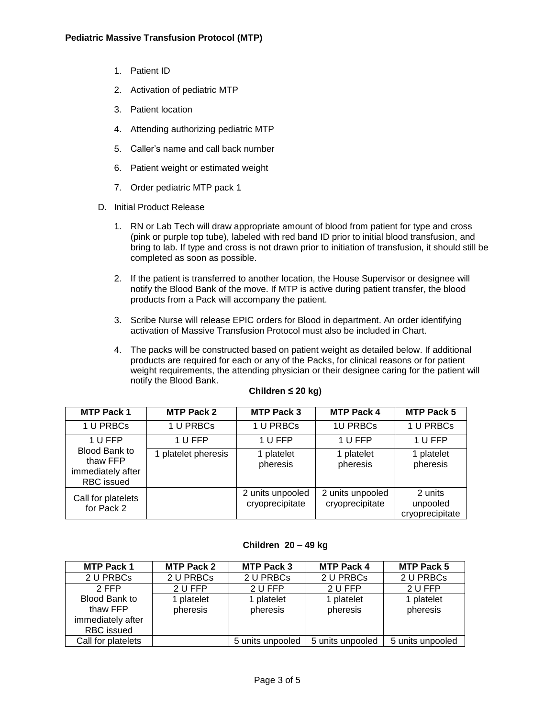- 1. Patient ID
- 2. Activation of pediatric MTP
- 3. Patient location
- 4. Attending authorizing pediatric MTP
- 5. Caller's name and call back number
- 6. Patient weight or estimated weight
- 7. Order pediatric MTP pack 1
- D. Initial Product Release
	- 1. RN or Lab Tech will draw appropriate amount of blood from patient for type and cross (pink or purple top tube), labeled with red band ID prior to initial blood transfusion, and bring to lab. If type and cross is not drawn prior to initiation of transfusion, it should still be completed as soon as possible.
	- 2. If the patient is transferred to another location, the House Supervisor or designee will notify the Blood Bank of the move. If MTP is active during patient transfer, the blood products from a Pack will accompany the patient.
	- 3. Scribe Nurse will release EPIC orders for Blood in department. An order identifying activation of Massive Transfusion Protocol must also be included in Chart.
	- 4. The packs will be constructed based on patient weight as detailed below. If additional products are required for each or any of the Packs, for clinical reasons or for patient weight requirements, the attending physician or their designee caring for the patient will notify the Blood Bank.

| <b>MTP Pack 1</b>                                                   | <b>MTP Pack 2</b>   | <b>MTP Pack 3</b>                   | <b>MTP Pack 4</b>                   | <b>MTP Pack 5</b>                      |
|---------------------------------------------------------------------|---------------------|-------------------------------------|-------------------------------------|----------------------------------------|
| 1 U PRBCs                                                           | 1 U PRBCs           | 1 U PRBCs                           | <b>1U PRBCs</b>                     | 1 U PRBCs                              |
| 1 U FFP                                                             | 1 U FFP             | 1 U FFP                             | 1 U FFP                             | 1 U FFP                                |
| Blood Bank to<br>thaw FFP<br>immediately after<br><b>RBC</b> issued | 1 platelet pheresis | 1 platelet<br>pheresis              | 1 platelet<br>pheresis              | 1 platelet<br>pheresis                 |
| Call for platelets<br>for Pack 2                                    |                     | 2 units unpooled<br>cryoprecipitate | 2 units unpooled<br>cryoprecipitate | 2 units<br>unpooled<br>cryoprecipitate |

### **Children ≤ 20 kg)**

### **Children 20 – 49 kg**

| <b>MTP Pack 1</b>                                                   | <b>MTP Pack 2</b>      | <b>MTP Pack 3</b>      | <b>MTP Pack 4</b>      | <b>MTP Pack 5</b>      |
|---------------------------------------------------------------------|------------------------|------------------------|------------------------|------------------------|
| 2 U PRBCs                                                           | 2 U PRBCs              | 2 U PRBCs              | 2 U PRBCs              | 2 U PRBCs              |
| 2 FFP                                                               | 2 U FFP                | 2 U FFP                | 2 U FFP                | 2 U FFP                |
| Blood Bank to<br>thaw FFP<br>immediately after<br><b>RBC</b> issued | 1 platelet<br>pheresis | 1 platelet<br>pheresis | 1 platelet<br>pheresis | 1 platelet<br>pheresis |
| Call for platelets                                                  |                        | 5 units unpooled       | 5 units unpooled       | 5 units unpooled       |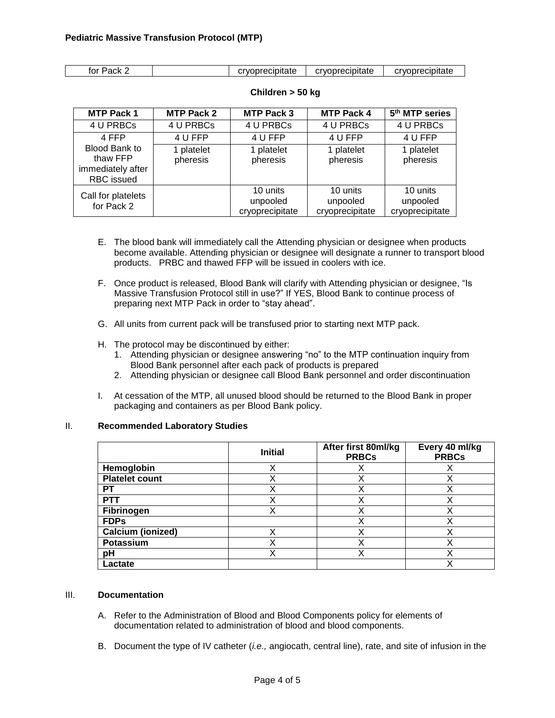| for Pack | cryoprecipitate | cryoprecipitate | cryoprecipitate |
|----------|-----------------|-----------------|-----------------|

| <b>MTP Pack 1</b>                                                          | <b>MTP Pack 2</b>      | <b>MTP Pack 3</b>                       | <b>MTP Pack 4</b>                       | 5 <sup>th</sup> MTP series              |
|----------------------------------------------------------------------------|------------------------|-----------------------------------------|-----------------------------------------|-----------------------------------------|
| 4 U PRBCs                                                                  | 4 U PRBCs              | 4 U PRBCs                               | 4 U PRBCs                               | 4 U PRBCs                               |
| 4 FFP                                                                      | 4 U FFP                | 4 U FFP                                 | 4 U FFP                                 | 4 U FFP                                 |
| <b>Blood Bank to</b><br>thaw FFP<br>immediately after<br><b>RBC</b> issued | 1 platelet<br>pheresis | 1 platelet<br>pheresis                  | 1 platelet<br>pheresis                  | 1 platelet<br>pheresis                  |
| Call for platelets<br>for Pack 2                                           |                        | 10 units<br>unpooled<br>cryoprecipitate | 10 units<br>unpooled<br>cryoprecipitate | 10 units<br>unpooled<br>cryoprecipitate |

### **Children > 50 kg**

- E. The blood bank will immediately call the Attending physician or designee when products become available. Attending physician or designee will designate a runner to transport blood products. PRBC and thawed FFP will be issued in coolers with ice.
- F. Once product is released, Blood Bank will clarify with Attending physician or designee, "Is Massive Transfusion Protocol still in use?" If YES, Blood Bank to continue process of preparing next MTP Pack in order to "stay ahead".
- G. All units from current pack will be transfused prior to starting next MTP pack.
- H. The protocol may be discontinued by either:
	- 1. Attending physician or designee answering "no" to the MTP continuation inquiry from Blood Bank personnel after each pack of products is prepared
	- 2. Attending physician or designee call Blood Bank personnel and order discontinuation
- I. At cessation of the MTP, all unused blood should be returned to the Blood Bank in proper packaging and containers as per Blood Bank policy.

### II. **Recommended Laboratory Studies**

|                          | <b>Initial</b> | After first 80ml/kg<br><b>PRBCs</b> | Every 40 ml/kg<br><b>PRBCs</b> |
|--------------------------|----------------|-------------------------------------|--------------------------------|
| Hemoglobin               | Χ              |                                     | Х                              |
| <b>Platelet count</b>    | X              | X                                   | Х                              |
| РT                       | v              | х                                   | х                              |
| <b>PTT</b>               | v              | Х                                   | Х                              |
| Fibrinogen               |                |                                     | Х                              |
| <b>FDPs</b>              |                | X                                   | Χ                              |
| <b>Calcium (ionized)</b> |                |                                     |                                |
| Potassium                | v              | x                                   | x                              |
| рH                       | v              | x                                   | х                              |
| Lactate                  |                |                                     | Х                              |

# III. **Documentation**

- A. Refer to the Administration of Blood and Blood Components policy for elements of documentation related to administration of blood and blood components.
- B. Document the type of IV catheter (*i.e.,* angiocath, central line), rate, and site of infusion in the